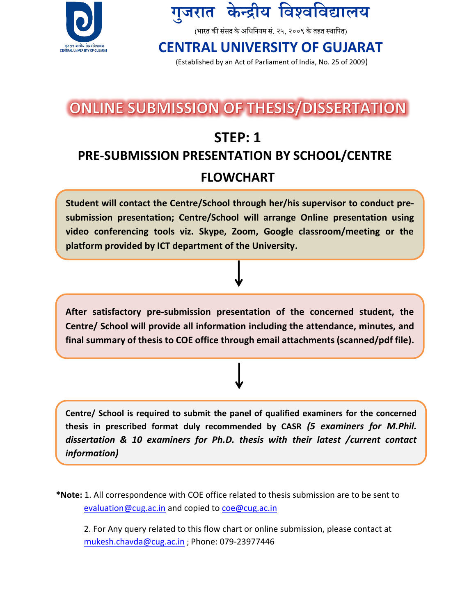



(भारत की संसद के अधिनियम सं. २५, २००९ के तहत स्थापित)

### **CENTRAL UNIVERSITY OF GUJARAT**

(Established by an Act of Parliament of India, No. 25 of 2009)

## **ONLINE SUBMISSION OF THESIS/DISSERTATION**

## **STEP: 1**

# **PRE-SUBMISSION PRESENTATION BY SCHOOL/CENTRE**

### **FLOWCHART**

**Student will contact the Centre/School through her/his supervisor to conduct presubmission presentation; Centre/School will arrange Online presentation using video conferencing tools viz. Skype, Zoom, Google classroom/meeting or the platform provided by ICT department of the University.**

final summary of thesis to COE office through email attachments (scanned/pdf file). **After satisfactory pre-submission presentation of the concerned student, the Centre/ School will provide all information including the attendance, minutes, and** 

**Centre/ School is required to submit the panel of qualified examiners for the concerned thesis in prescribed format duly recommended by CASR** *(5 examiners for M.Phil. dissertation & 10 examiners for Ph.D. thesis with their latest /current contact information)*

**\*Note:** 1. All correspondence with COE office related to thesis submission are to be sent to [evaluation@cug.ac.in](mailto:evaluation@cug.ac.in) and copied to [coe@cug.ac.in](mailto:coe@cug.ac.in)

2. For Any query related to this flow chart or online submission, please contact at [mukesh.chavda@cug.ac.in](mailto:mukesh.chavda@cug.ac.in) ; Phone: 079-23977446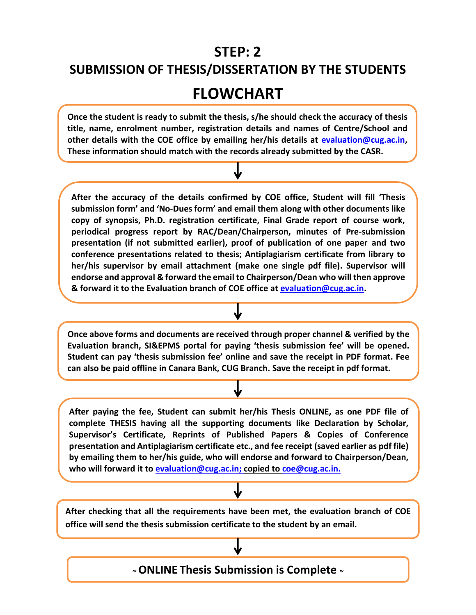### **STEP: 2**

### **SUBMISSION OF THESIS/DISSERTATION BY THE STUDENTS**

### **FLOWCHART**

**Once the student is ready to submit the thesis, s/he should check the accuracy of thesis title, name, enrolment number, registration details and names of Centre/School and other details with the COE office by emailing her/his details at [evaluation@cug.ac.in,](mailto:evaluation@cug.ac.in) These information should match with the records already submitted by the CASR.**

**After the accuracy of the details confirmed by COE office, Student will fill 'Thesis submission form' and 'No-Dues form' and email them along with other documents like copy of synopsis, Ph.D. registration certificate, Final Grade report of course work, periodical progress report by RAC/Dean/Chairperson, minutes of Pre-submission presentation (if not submitted earlier), proof of publication of one paper and two conference presentations related to thesis; Antiplagiarism certificate from library to her/his supervisor by email attachment (make one single pdf file). Supervisor will endorse and approval & forward the email to Chairperson/Dean who will then approve & forward it to the Evaluation branch of COE office at [evaluation@cug.ac.in.](mailto:evaluation@cug.ac.in)**

**Once above forms and documents are received through proper channel & verified by the Evaluation branch, SI&EPMS portal for paying 'thesis submission fee' will be opened. Student can pay 'thesis submission fee' online and save the receipt in PDF format. Fee can also be paid offline in Canara Bank, CUG Branch. Save the receipt in pdf format.**

**After paying the fee, Student can submit her/his Thesis ONLINE, as one PDF file of complete THESIS having all the supporting documents like Declaration by Scholar, Supervisor's Certificate, Reprints of Published Papers & Copies of Conference presentation and Antiplagiarism certificate etc., and fee receipt (saved earlier as pdf file) by emailing them to her/his guide, who will endorse and forward to Chairperson/Dean, who will forward it to [evaluation@cug.ac.in;](mailto:evaluation@cug.ac.in) copied to [coe@cug.ac.in.](mailto:coe@cug.ac.in)**

**After checking that all the requirements have been met, the evaluation branch of COE office will send the thesis submission certificate to the student by an email.**

**<sup>~</sup>ONLINE Thesis Submission is Complete <sup>~</sup>**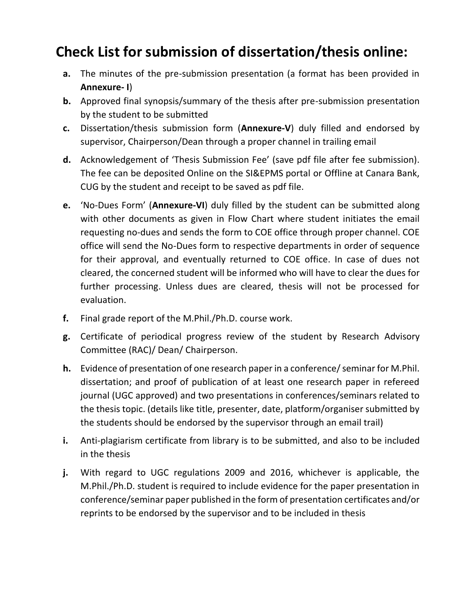## **Check List for submission of dissertation/thesis online:**

- **a.** The minutes of the pre-submission presentation (a format has been provided in **Annexure- I**)
- **b.** Approved final synopsis/summary of the thesis after pre-submission presentation by the student to be submitted
- **c.** Dissertation/thesis submission form (**Annexure-V**) duly filled and endorsed by supervisor, Chairperson/Dean through a proper channel in trailing email
- **d.** Acknowledgement of 'Thesis Submission Fee' (save pdf file after fee submission). The fee can be deposited Online on the SI&EPMS portal or Offline at Canara Bank, CUG by the student and receipt to be saved as pdf file.
- **e.** 'No-Dues Form' (**Annexure-VI**) duly filled by the student can be submitted along with other documents as given in Flow Chart where student initiates the email requesting no-dues and sends the form to COE office through proper channel. COE office will send the No-Dues form to respective departments in order of sequence for their approval, and eventually returned to COE office. In case of dues not cleared, the concerned student will be informed who will have to clear the dues for further processing. Unless dues are cleared, thesis will not be processed for evaluation.
- **f.** Final grade report of the M.Phil./Ph.D. course work.
- **g.** Certificate of periodical progress review of the student by Research Advisory Committee (RAC)/ Dean/ Chairperson.
- **h.** Evidence of presentation of one research paper in a conference/ seminar for M.Phil. dissertation; and proof of publication of at least one research paper in refereed journal (UGC approved) and two presentations in conferences/seminars related to the thesis topic. (details like title, presenter, date, platform/organiser submitted by the students should be endorsed by the supervisor through an email trail)
- **i.** Anti-plagiarism certificate from library is to be submitted, and also to be included in the thesis
- **j.** With regard to UGC regulations 2009 and 2016, whichever is applicable, the M.Phil./Ph.D. student is required to include evidence for the paper presentation in conference/seminar paper published in the form of presentation certificates and/or reprints to be endorsed by the supervisor and to be included in thesis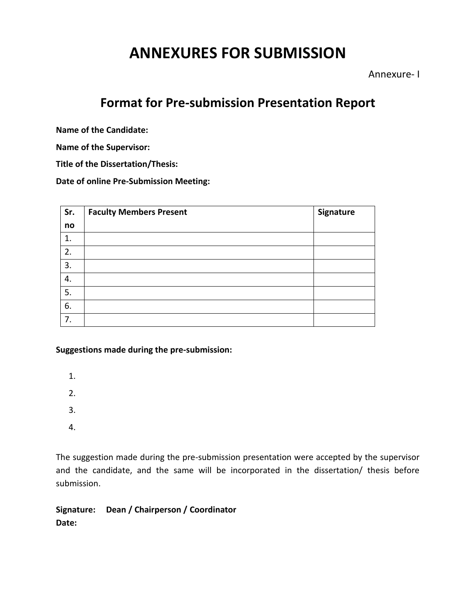## **ANNEXURES FOR SUBMISSION**

Annexure- I

### **Format for Pre-submission Presentation Report**

**Name of the Candidate:**

**Name of the Supervisor:**

**Title of the Dissertation/Thesis:**

**Date of online Pre-Submission Meeting:**

| Sr. | <b>Faculty Members Present</b> | Signature |
|-----|--------------------------------|-----------|
| no  |                                |           |
| 1.  |                                |           |
| 2.  |                                |           |
| 3.  |                                |           |
| 4.  |                                |           |
| 5.  |                                |           |
| 6.  |                                |           |
| 7.  |                                |           |

**Suggestions made during the pre-submission:**

1.

2.

3.

4.

The suggestion made during the pre-submission presentation were accepted by the supervisor and the candidate, and the same will be incorporated in the dissertation/ thesis before submission.

**Signature: Dean / Chairperson / Coordinator Date:**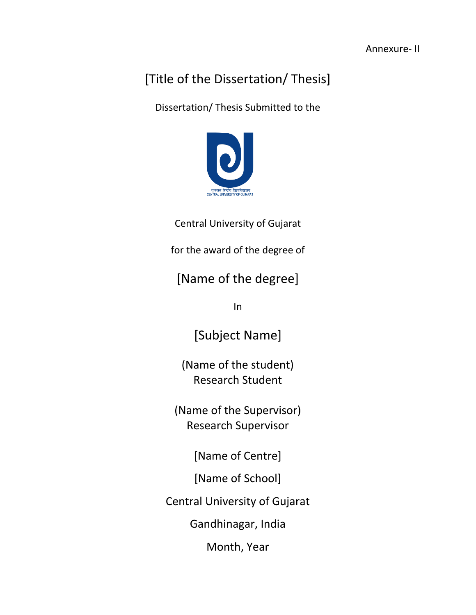## [Title of the Dissertation/ Thesis]

Dissertation/ Thesis Submitted to the



Central University of Gujarat

for the award of the degree of

[Name of the degree]

In

[Subject Name]

(Name of the student) Research Student

(Name of the Supervisor) Research Supervisor

[Name of Centre]

[Name of School]

Central University of Gujarat

Gandhinagar, India

Month, Year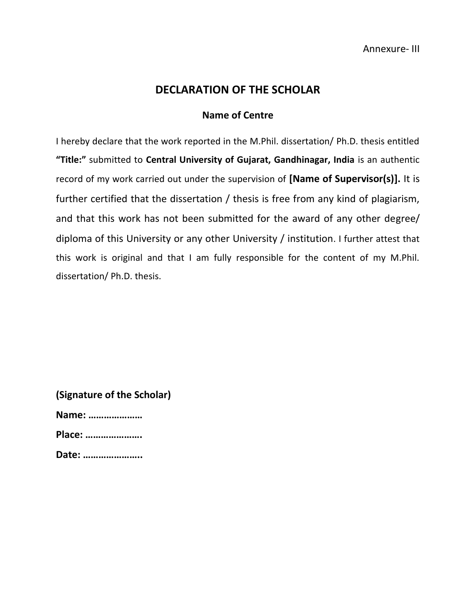#### **DECLARATION OF THE SCHOLAR**

#### **Name of Centre**

I hereby declare that the work reported in the M.Phil. dissertation/ Ph.D. thesis entitled **"Title:"** submitted to **Central University of Gujarat, Gandhinagar, India** is an authentic record of my work carried out under the supervision of **[Name of Supervisor(s)].** It is further certified that the dissertation / thesis is free from any kind of plagiarism, and that this work has not been submitted for the award of any other degree/ diploma of this University or any other University / institution. I further attest that this work is original and that I am fully responsible for the content of my M.Phil. dissertation/ Ph.D. thesis.

**(Signature of the Scholar)**

**Name: …………………** 

**Place: ………………….** 

**Date: …………………..**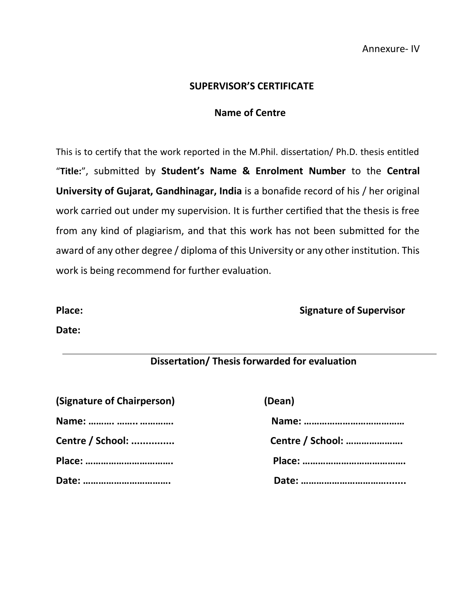#### **SUPERVISOR'S CERTIFICATE**

#### **Name of Centre**

This is to certify that the work reported in the M.Phil. dissertation/ Ph.D. thesis entitled "**Title:**", submitted by **Student's Name & Enrolment Number** to the **Central University of Gujarat, Gandhinagar, India** is a bonafide record of his / her original work carried out under my supervision. It is further certified that the thesis is free from any kind of plagiarism, and that this work has not been submitted for the award of any other degree / diploma of this University or any other institution. This work is being recommend for further evaluation.

**Place:** Signature of Supervisor

**Date:**

#### **Dissertation/ Thesis forwarded for evaluation**

| (Signature of Chairperson) | (Dean)           |
|----------------------------|------------------|
| Name:                      |                  |
| Centre / School:           | Centre / School: |
|                            |                  |
|                            |                  |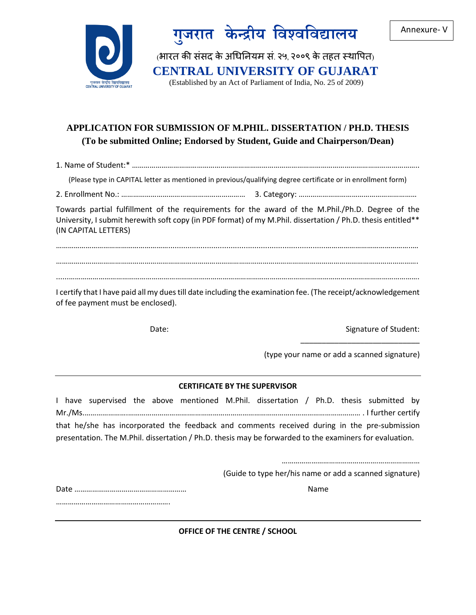



(भारत की संसद के अधिनियम सं. २५, २००९ के तहत स्थापित)

**CENTRAL UNIVERSITY OF GUJARAT**

(Established by an Act of Parliament of India, No. 25 of 2009)

### **APPLICATION FOR SUBMISSION OF M.PHIL. DISSERTATION / PH.D. THESIS (To be submitted Online; Endorsed by Student, Guide and Chairperson/Dean)**

1. Name of Student:\* ………………………………………………………………………………………………………………………………..

(Please type in CAPITAL letter as mentioned in previous/qualifying degree certificate or in enrollment form)

2. Enrollment No.: ……………………………………………………… 3. Category: ……………………………………………………

Towards partial fulfillment of the requirements for the award of the M.Phil./Ph.D. Degree of the University, I submit herewith soft copy (in PDF format) of my M.Phil. dissertation / Ph.D. thesis entitled\*\* (IN CAPITAL LETTERS)

………………………………………………….........................................................................……………………………………..… ………………………………………………………………………………………………………………………………………………………………….

I certify that I have paid all my dues till date including the examination fee. (The receipt/acknowledgement of fee payment must be enclosed).

......…………………………………………………………………………………………………………………………………………………………….

Date: Signature of Student:

(type your name or add a scanned signature)

\_\_\_\_\_\_\_\_\_\_\_\_\_\_\_\_\_\_\_\_\_\_\_\_\_\_\_\_

#### **CERTIFICATE BY THE SUPERVISOR**

I have supervised the above mentioned M.Phil. dissertation / Ph.D. thesis submitted by Mr./Ms.………………….………………………….…………………………………………………………………………… . I further certify that he/she has incorporated the feedback and comments received during in the pre-submission presentation. The M.Phil. dissertation / Ph.D. thesis may be forwarded to the examiners for evaluation.

> ……………………………………………………………… (Guide to type her/his name or add a scanned signature)

Date ………………………………………………… Name ………………………………………………….

**OFFICE OF THE CENTRE / SCHOOL**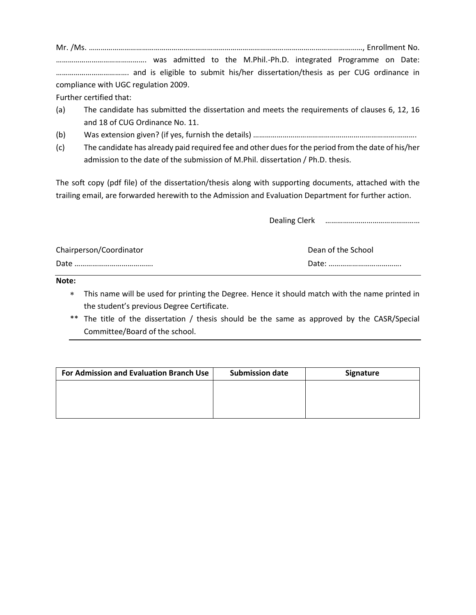Mr. /Ms. ……………………………………………………………………………………….…………………………………, Enrollment No. ………………………………………. was admitted to the M.Phil.-Ph.D. integrated Programme on Date: ………………………………. and is eligible to submit his/her dissertation/thesis as per CUG ordinance in compliance with UGC regulation 2009.

Further certified that:

- (a) The candidate has submitted the dissertation and meets the requirements of clauses 6, 12, 16 and 18 of CUG Ordinance No. 11.
- (b) Was extension given? (if yes, furnish the details) ……………………………………………………………….……….
- (c) The candidate has already paid required fee and other dues for the period from the date of his/her admission to the date of the submission of M.Phil. dissertation / Ph.D. thesis.

The soft copy (pdf file) of the dissertation/thesis along with supporting documents, attached with the trailing email, are forwarded herewith to the Admission and Evaluation Department for further action.

| Chairperson/Coordinator | Dean of the School |
|-------------------------|--------------------|
|                         |                    |

**Note:**

- This name will be used for printing the Degree. Hence it should match with the name printed in the student's previous Degree Certificate.
- \*\* The title of the dissertation / thesis should be the same as approved by the CASR/Special Committee/Board of the school.

| For Admission and Evaluation Branch Use | <b>Submission date</b> | Signature |
|-----------------------------------------|------------------------|-----------|
|                                         |                        |           |
|                                         |                        |           |
|                                         |                        |           |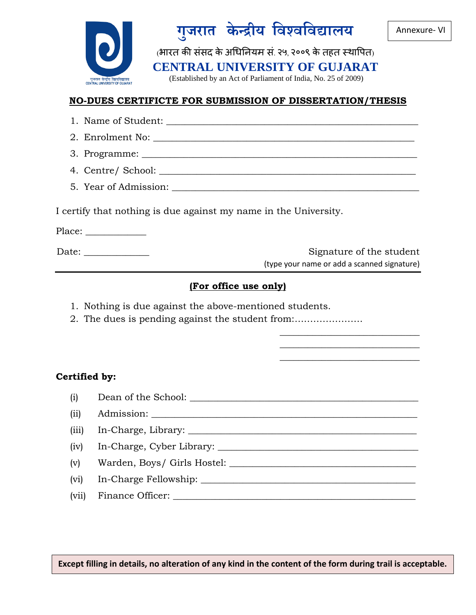



(भारत की संसद के अधिनियम सं. २५, २००९ के तहत स्थापित)

**CENTRAL UNIVERSITY OF GUJARAT**

(Established by an Act of Parliament of India, No. 25 of 2009)

#### **NO-DUES CERTIFICTE FOR SUBMISSION OF DISSERTATION/THESIS**

| I certify that nothing is due against my name in the University. |  |  |  |
|------------------------------------------------------------------|--|--|--|
| Place: _____________                                             |  |  |  |
| Date: _____________<br>Signature of the student                  |  |  |  |
| (type your name or add a scanned signature)                      |  |  |  |

#### **(For office use only)**

- 1. Nothing is due against the above-mentioned students.
- 2. The dues is pending against the student from:………………….

#### **Certified by:**

(i) Dean of the School: \_\_\_\_\_\_\_\_\_\_\_\_\_\_\_\_\_\_\_\_\_\_\_\_\_\_\_\_\_\_\_\_\_\_\_\_\_\_\_\_\_\_\_\_\_\_\_\_\_

 $\overline{\phantom{a}}$  , where  $\overline{\phantom{a}}$  , where  $\overline{\phantom{a}}$  ,  $\overline{\phantom{a}}$  ,  $\overline{\phantom{a}}$  ,  $\overline{\phantom{a}}$  ,  $\overline{\phantom{a}}$  ,  $\overline{\phantom{a}}$  ,  $\overline{\phantom{a}}$  ,  $\overline{\phantom{a}}$  ,  $\overline{\phantom{a}}$  ,  $\overline{\phantom{a}}$  ,  $\overline{\phantom{a}}$  ,  $\overline{\phantom{a}}$  ,  $\overline{\phantom{a}}$  ,  $\overline{\phantom{a}}$  , where  $\overline{\phantom{a}}$  , where  $\overline{\phantom{a}}$  ,  $\overline{\phantom{a}}$  ,  $\overline{\phantom{a}}$  ,  $\overline{\phantom{a}}$  ,  $\overline{\phantom{a}}$  ,  $\overline{\phantom{a}}$  ,  $\overline{\phantom{a}}$  ,  $\overline{\phantom{a}}$  ,  $\overline{\phantom{a}}$  ,  $\overline{\phantom{a}}$  ,  $\overline{\phantom{a}}$  ,  $\overline{\phantom{a}}$  ,  $\overline{\phantom{a}}$  ,  $\overline{\phantom{a}}$  , where  $\overline{\phantom{a}}$  , where  $\overline{\phantom{a}}$  ,  $\overline{\phantom{a}}$  ,  $\overline{\phantom{a}}$  ,  $\overline{\phantom{a}}$  ,  $\overline{\phantom{a}}$  ,  $\overline{\phantom{a}}$  ,  $\overline{\phantom{a}}$  ,  $\overline{\phantom{a}}$  ,  $\overline{\phantom{a}}$  ,  $\overline{\phantom{a}}$  ,  $\overline{\phantom{a}}$  ,  $\overline{\phantom{a}}$  ,  $\overline{\phantom{a}}$  ,

- (ii) Admission:
- (iii) In-Charge, Library: \_\_\_\_\_\_\_\_\_\_\_\_\_\_\_\_\_\_\_\_\_\_\_\_\_\_\_\_\_\_\_\_\_\_\_\_\_\_\_\_\_\_\_\_\_\_\_\_\_
- (iv) In-Charge, Cyber Library: \_\_\_\_\_\_\_\_\_\_\_\_\_\_\_\_\_\_\_\_\_\_\_\_\_\_\_\_\_\_\_\_\_\_\_\_\_\_\_\_\_\_\_
- (v) Warden, Boys/ Girls Hostel: \_\_\_\_\_\_\_\_\_\_\_\_\_\_\_\_\_\_\_\_\_\_\_\_\_\_\_\_\_\_\_\_\_\_\_\_\_\_\_\_
- (vi) In-Charge Fellowship: \_\_\_\_\_\_\_\_\_\_\_\_\_\_\_\_\_\_\_\_\_\_\_\_\_\_\_\_\_\_\_\_\_\_\_\_\_\_\_\_\_\_\_\_\_\_
- (vii) Finance Officer: \_\_\_\_\_\_\_\_\_\_\_\_\_\_\_\_\_\_\_\_\_\_\_\_\_\_\_\_\_\_\_\_\_\_\_\_\_\_\_\_\_\_\_\_\_\_\_\_\_\_\_\_

**Except filling in details, no alteration of any kind in the content of the form during trail is acceptable.**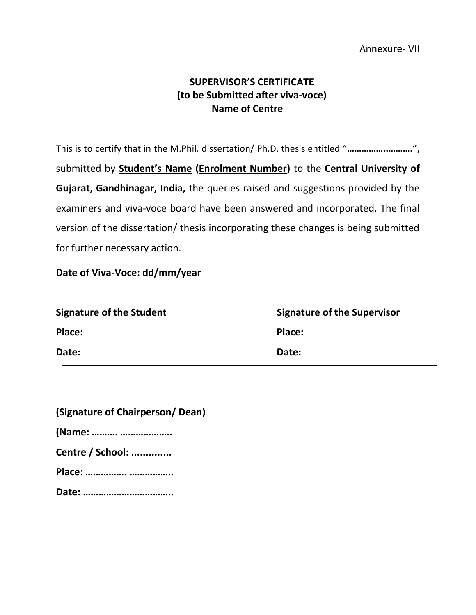### **SUPERVISOR'S CERTIFICATE (to be Submitted after viva-voce) Name of Centre**

This is to certify that in the M.Phil. dissertation/ Ph.D. thesis entitled "**……………..……….**", submitted by **Student's Name (Enrolment Number)** to the **Central University of Gujarat, Gandhinagar, India,** the queries raised and suggestions provided by the examiners and viva-voce board have been answered and incorporated. The final version of the dissertation/ thesis incorporating these changes is being submitted for further necessary action.

**Date of Viva-Voce: dd/mm/year**

| <b>Signature of the Student</b> | <b>Signature of the Supervisor</b> |
|---------------------------------|------------------------------------|
| Place:                          | Place:                             |
| Date:                           | Date:                              |

| (Signature of Chairperson/ Dean) |  |
|----------------------------------|--|
| (Name:                           |  |
| Centre / School:                 |  |
| Place:                           |  |
|                                  |  |